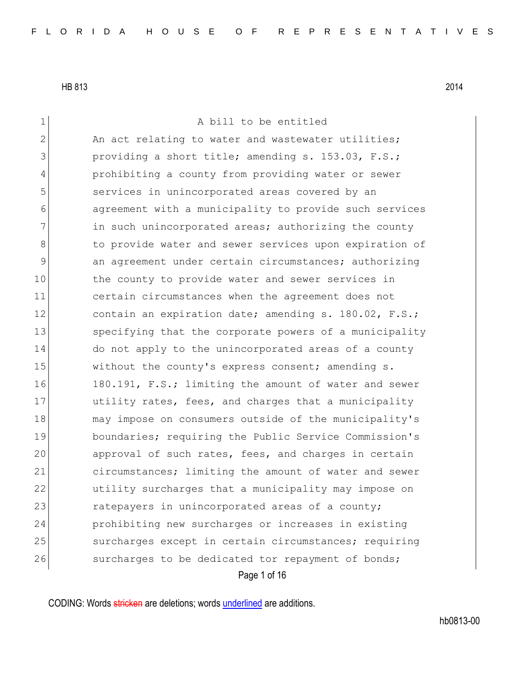| 1              | A bill to be entitled                                  |
|----------------|--------------------------------------------------------|
| $\overline{2}$ | An act relating to water and wastewater utilities;     |
| 3              | providing a short title; amending s. 153.03, F.S.;     |
| 4              | prohibiting a county from providing water or sewer     |
| 5              | services in unincorporated areas covered by an         |
| 6              | agreement with a municipality to provide such services |
| 7              | in such unincorporated areas; authorizing the county   |
| 8              | to provide water and sewer services upon expiration of |
| $\mathcal{G}$  | an agreement under certain circumstances; authorizing  |
| 10             | the county to provide water and sewer services in      |
| 11             | certain circumstances when the agreement does not      |
| 12             | contain an expiration date; amending s. 180.02, F.S.;  |
| 13             | specifying that the corporate powers of a municipality |
| 14             | do not apply to the unincorporated areas of a county   |
| 15             | without the county's express consent; amending s.      |
| 16             | 180.191, F.S.; limiting the amount of water and sewer  |
| 17             | utility rates, fees, and charges that a municipality   |
| 18             | may impose on consumers outside of the municipality's  |
| 19             | boundaries; requiring the Public Service Commission's  |
| 20             | approval of such rates, fees, and charges in certain   |
| 21             | circumstances; limiting the amount of water and sewer  |
| 22             | utility surcharges that a municipality may impose on   |
| 23             | ratepayers in unincorporated areas of a county;        |
| 24             | prohibiting new surcharges or increases in existing    |
| 25             | surcharges except in certain circumstances; requiring  |
| 26             | surcharges to be dedicated tor repayment of bonds;     |
|                | Page 1 of 16                                           |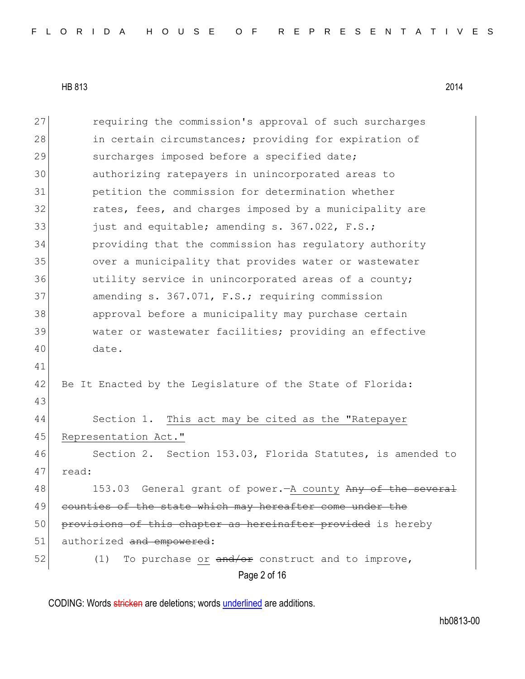| 27 | requiring the commission's approval of such surcharges       |  |  |  |  |  |  |  |  |  |  |  |  |
|----|--------------------------------------------------------------|--|--|--|--|--|--|--|--|--|--|--|--|
| 28 | in certain circumstances; providing for expiration of        |  |  |  |  |  |  |  |  |  |  |  |  |
| 29 | surcharges imposed before a specified date;                  |  |  |  |  |  |  |  |  |  |  |  |  |
| 30 | authorizing ratepayers in unincorporated areas to            |  |  |  |  |  |  |  |  |  |  |  |  |
| 31 | petition the commission for determination whether            |  |  |  |  |  |  |  |  |  |  |  |  |
| 32 | rates, fees, and charges imposed by a municipality are       |  |  |  |  |  |  |  |  |  |  |  |  |
| 33 | just and equitable; amending s. 367.022, F.S.;               |  |  |  |  |  |  |  |  |  |  |  |  |
| 34 | providing that the commission has regulatory authority       |  |  |  |  |  |  |  |  |  |  |  |  |
| 35 | over a municipality that provides water or wastewater        |  |  |  |  |  |  |  |  |  |  |  |  |
| 36 | utility service in unincorporated areas of a county;         |  |  |  |  |  |  |  |  |  |  |  |  |
| 37 | amending s. 367.071, F.S.; requiring commission              |  |  |  |  |  |  |  |  |  |  |  |  |
| 38 | approval before a municipality may purchase certain          |  |  |  |  |  |  |  |  |  |  |  |  |
| 39 | water or wastewater facilities; providing an effective       |  |  |  |  |  |  |  |  |  |  |  |  |
| 40 | date.                                                        |  |  |  |  |  |  |  |  |  |  |  |  |
| 41 |                                                              |  |  |  |  |  |  |  |  |  |  |  |  |
| 42 | Be It Enacted by the Legislature of the State of Florida:    |  |  |  |  |  |  |  |  |  |  |  |  |
| 43 |                                                              |  |  |  |  |  |  |  |  |  |  |  |  |
| 44 | Section 1. This act may be cited as the "Ratepayer           |  |  |  |  |  |  |  |  |  |  |  |  |
| 45 | Representation Act."                                         |  |  |  |  |  |  |  |  |  |  |  |  |
| 46 | Section 2. Section 153.03, Florida Statutes, is amended to   |  |  |  |  |  |  |  |  |  |  |  |  |
| 47 | read:                                                        |  |  |  |  |  |  |  |  |  |  |  |  |
| 48 | 153.03 General grant of power. - A county Any of the several |  |  |  |  |  |  |  |  |  |  |  |  |
| 49 | counties of the state which may hereafter come under the     |  |  |  |  |  |  |  |  |  |  |  |  |
| 50 | provisions of this chapter as hereinafter provided is hereby |  |  |  |  |  |  |  |  |  |  |  |  |
| 51 | authorized and empowered:                                    |  |  |  |  |  |  |  |  |  |  |  |  |
| 52 | To purchase or and/or construct and to improve,<br>(1)       |  |  |  |  |  |  |  |  |  |  |  |  |
|    | Page 2 of 16                                                 |  |  |  |  |  |  |  |  |  |  |  |  |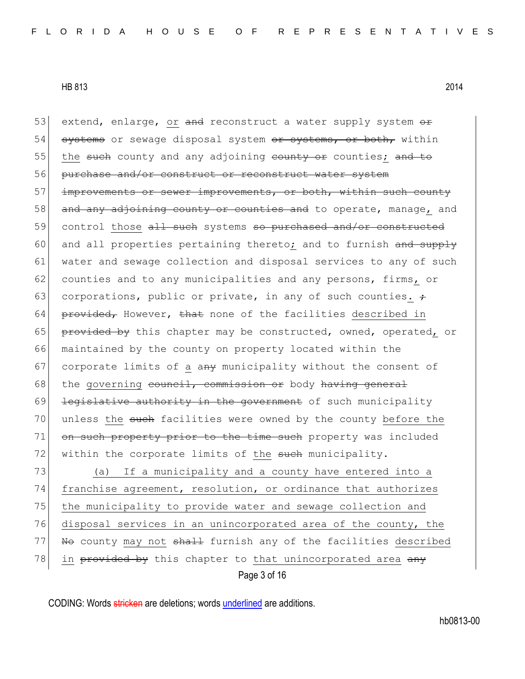53 extend, enlarge, or and reconstruct a water supply system or 54 systems or sewage disposal system or systems, or both, within 55 the such county and any adjoining county or counties; and to 56 purchase and/or construct or reconstruct water system 57 improvements or sewer improvements, or both, within such county 58 and any adjoining county or counties and to operate, manage, and 59 control those all such systems so purchased and/or constructed 60 and all properties pertaining thereto; and to furnish and supply 61 water and sewage collection and disposal services to any of such 62 counties and to any municipalities and any persons, firms, or 63 corporations, public or private, in any of such counties.  $\div$ 64 provided, However, that none of the facilities described in 65 provided by this chapter may be constructed, owned, operated, or 66 maintained by the county on property located within the 67 corporate limits of a any municipality without the consent of  $68$  the governing council, commission or body having general  $69$  <del>legislative authority in the government</del> of such municipality 70 unless the such facilities were owned by the county before the 71 on such property prior to the time such property was included 72 within the corporate limits of the such municipality. 73 (a) If a municipality and a county have entered into a 74 franchise agreement, resolution, or ordinance that authorizes 75 the municipality to provide water and sewage collection and 76 disposal services in an unincorporated area of the county, the 77 No county may not shall furnish any of the facilities described

78 in provided by this chapter to that unincorporated area  $\frac{any}{x}$ 

Page 3 of 16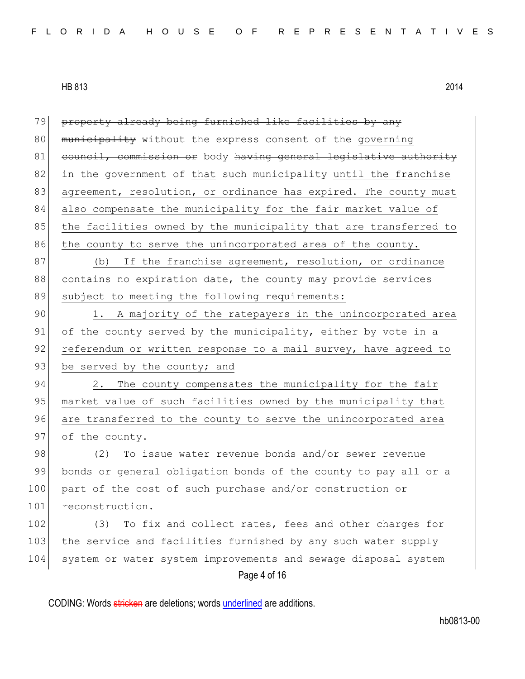| 79  | property already being furnished like facilities by any          |
|-----|------------------------------------------------------------------|
| 80  | municipality without the express consent of the governing        |
| 81  | council, commission or body having general legislative authority |
| 82  | in the government of that such municipality until the franchise  |
| 83  | agreement, resolution, or ordinance has expired. The county must |
| 84  | also compensate the municipality for the fair market value of    |
| 85  | the facilities owned by the municipality that are transferred to |
| 86  | the county to serve the unincorporated area of the county.       |
| 87  | If the franchise agreement, resolution, or ordinance<br>(b)      |
| 88  | contains no expiration date, the county may provide services     |
| 89  | subject to meeting the following requirements:                   |
| 90  | 1. A majority of the ratepayers in the unincorporated area       |
| 91  | of the county served by the municipality, either by vote in a    |
| 92  | referendum or written response to a mail survey, have agreed to  |
| 93  | be served by the county; and                                     |
| 94  | The county compensates the municipality for the fair<br>2.       |
| 95  | market value of such facilities owned by the municipality that   |
| 96  | are transferred to the county to serve the unincorporated area   |
| 97  | of the county.                                                   |
| 98  | To issue water revenue bonds and/or sewer revenue<br>(2)         |
| 99  | bonds or general obligation bonds of the county to pay all or a  |
| 100 | part of the cost of such purchase and/or construction or         |
| 101 | reconstruction.                                                  |
| 102 | To fix and collect rates, fees and other charges for<br>(3)      |
| 103 | the service and facilities furnished by any such water supply    |
| 104 | system or water system improvements and sewage disposal system   |
|     | Page 4 of 16                                                     |
|     |                                                                  |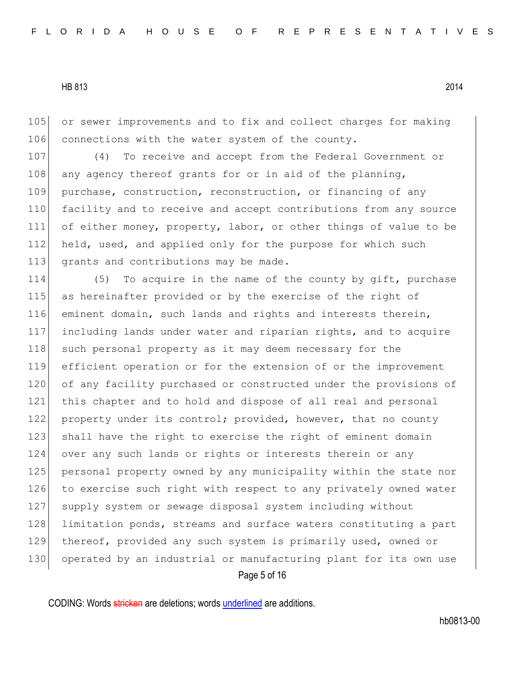105 or sewer improvements and to fix and collect charges for making 106 connections with the water system of the county.

107 (4) To receive and accept from the Federal Government or 108 any agency thereof grants for or in aid of the planning, 109 purchase, construction, reconstruction, or financing of any 110 facility and to receive and accept contributions from any source 111 of either money, property, labor, or other things of value to be 112 held, used, and applied only for the purpose for which such 113 grants and contributions may be made.

Page 5 of 16 114 (5) To acquire in the name of the county by gift, purchase 115 as hereinafter provided or by the exercise of the right of 116 eminent domain, such lands and rights and interests therein, 117 including lands under water and riparian rights, and to acquire 118 such personal property as it may deem necessary for the 119 efficient operation or for the extension of or the improvement 120 of any facility purchased or constructed under the provisions of 121 this chapter and to hold and dispose of all real and personal 122 property under its control; provided, however, that no county 123 shall have the right to exercise the right of eminent domain 124 over any such lands or rights or interests therein or any 125 personal property owned by any municipality within the state nor 126 to exercise such right with respect to any privately owned water 127 supply system or sewage disposal system including without 128 limitation ponds, streams and surface waters constituting a part 129 thereof, provided any such system is primarily used, owned or 130 operated by an industrial or manufacturing plant for its own use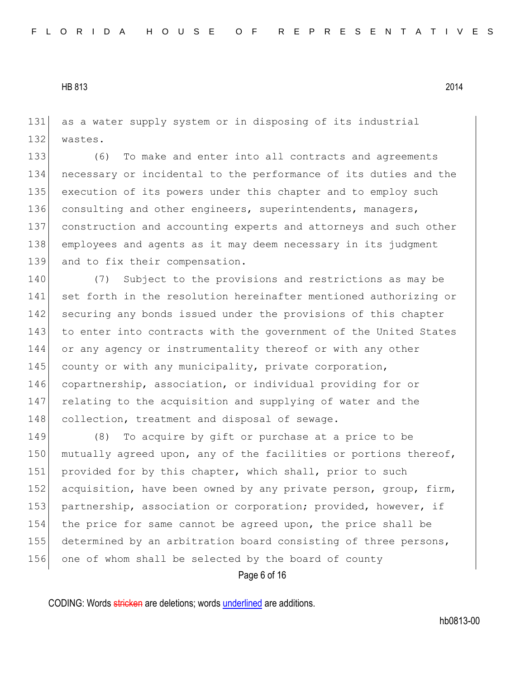131 as a water supply system or in disposing of its industrial 132 wastes.

 (6) To make and enter into all contracts and agreements necessary or incidental to the performance of its duties and the execution of its powers under this chapter and to employ such 136 consulting and other engineers, superintendents, managers, construction and accounting experts and attorneys and such other employees and agents as it may deem necessary in its judgment 139 and to fix their compensation.

140 (7) Subject to the provisions and restrictions as may be 141 set forth in the resolution hereinafter mentioned authorizing or 142 securing any bonds issued under the provisions of this chapter 143 to enter into contracts with the government of the United States 144 or any agency or instrumentality thereof or with any other 145 county or with any municipality, private corporation, 146 copartnership, association, or individual providing for or 147 relating to the acquisition and supplying of water and the 148 collection, treatment and disposal of sewage.

149 (8) To acquire by gift or purchase at a price to be 150 mutually agreed upon, any of the facilities or portions thereof, 151 provided for by this chapter, which shall, prior to such 152 acquisition, have been owned by any private person, group, firm, 153 partnership, association or corporation; provided, however, if 154 the price for same cannot be agreed upon, the price shall be 155 determined by an arbitration board consisting of three persons, 156 one of whom shall be selected by the board of county

Page 6 of 16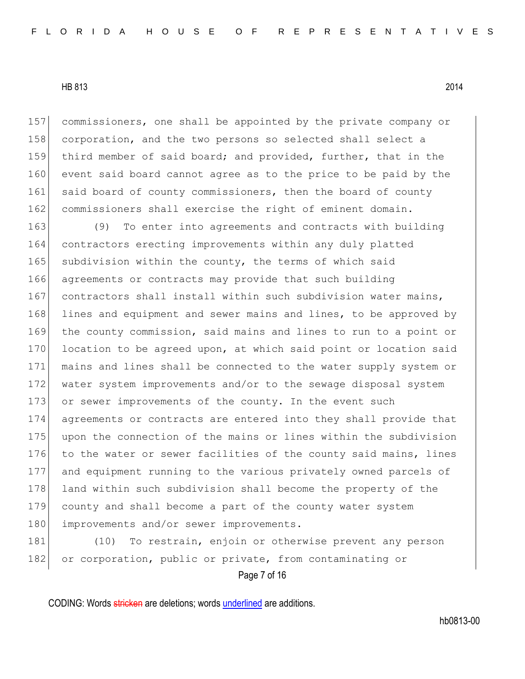157 commissioners, one shall be appointed by the private company or 158 corporation, and the two persons so selected shall select a 159 third member of said board; and provided, further, that in the 160 event said board cannot agree as to the price to be paid by the 161 said board of county commissioners, then the board of county 162 commissioners shall exercise the right of eminent domain.

 (9) To enter into agreements and contracts with building contractors erecting improvements within any duly platted 165 subdivision within the county, the terms of which said agreements or contracts may provide that such building 167 contractors shall install within such subdivision water mains, 168 lines and equipment and sewer mains and lines, to be approved by the county commission, said mains and lines to run to a point or 170 location to be agreed upon, at which said point or location said mains and lines shall be connected to the water supply system or water system improvements and/or to the sewage disposal system or sewer improvements of the county. In the event such agreements or contracts are entered into they shall provide that upon the connection of the mains or lines within the subdivision 176 to the water or sewer facilities of the county said mains, lines and equipment running to the various privately owned parcels of 178 land within such subdivision shall become the property of the county and shall become a part of the county water system 180 improvements and/or sewer improvements.

Page 7 of 16 181 (10) To restrain, enjoin or otherwise prevent any person 182 or corporation, public or private, from contaminating or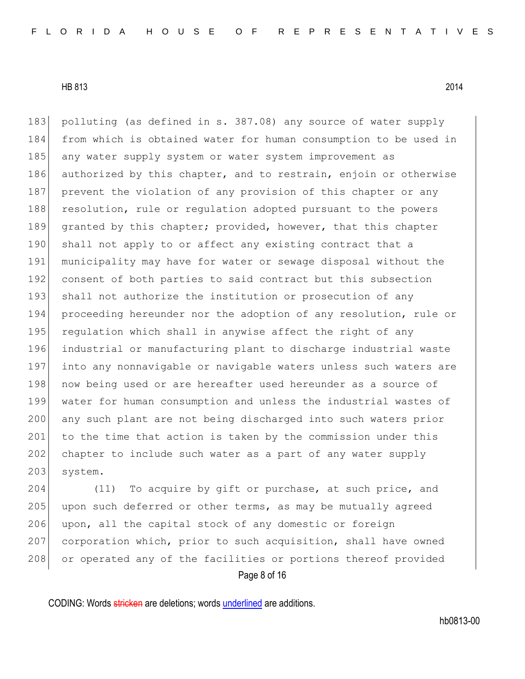183 polluting (as defined in s. 387.08) any source of water supply 184 from which is obtained water for human consumption to be used in 185 any water supply system or water system improvement as 186 authorized by this chapter, and to restrain, enjoin or otherwise 187 prevent the violation of any provision of this chapter or any 188 resolution, rule or regulation adopted pursuant to the powers 189 granted by this chapter; provided, however, that this chapter 190 shall not apply to or affect any existing contract that a 191 municipality may have for water or sewage disposal without the 192 consent of both parties to said contract but this subsection 193 shall not authorize the institution or prosecution of any 194 proceeding hereunder nor the adoption of any resolution, rule or 195 requlation which shall in anywise affect the right of any 196 industrial or manufacturing plant to discharge industrial waste 197 into any nonnavigable or navigable waters unless such waters are 198 now being used or are hereafter used hereunder as a source of 199 water for human consumption and unless the industrial wastes of 200 any such plant are not being discharged into such waters prior 201 to the time that action is taken by the commission under this 202 chapter to include such water as a part of any water supply 203 system.

Page 8 of 16 204 (11) To acquire by gift or purchase, at such price, and 205 upon such deferred or other terms, as may be mutually agreed  $206$  upon, all the capital stock of any domestic or foreign 207 corporation which, prior to such acquisition, shall have owned 208 or operated any of the facilities or portions thereof provided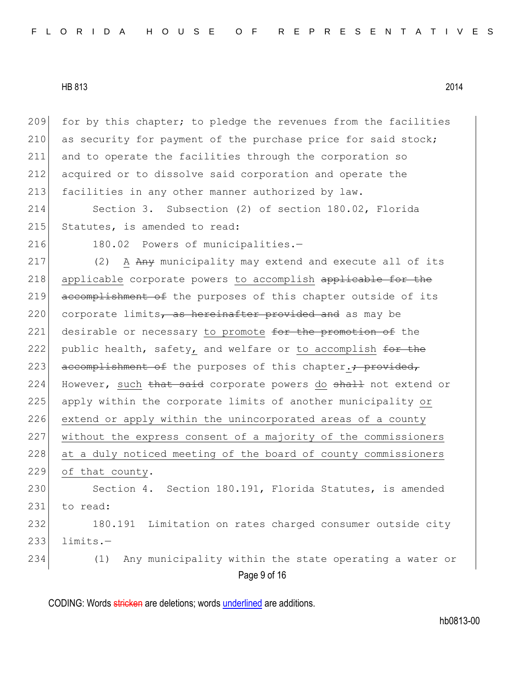for by this chapter; to pledge the revenues from the facilities 210 as security for payment of the purchase price for said stock; and to operate the facilities through the corporation so acquired or to dissolve said corporation and operate the facilities in any other manner authorized by law.

214 Section 3. Subsection (2) of section 180.02, Florida 215 Statutes, is amended to read:

216 180.02 Powers of municipalities.-

217 (2) A Any municipality may extend and execute all of its 218 applicable corporate powers to accomplish applicable for the 219 accomplishment of the purposes of this chapter outside of its 220 corporate limits, as hereinafter provided and as may be 221 desirable or necessary to promote for the promotion of the 222 public health, safety, and welfare or to accomplish for the 223 accomplishment of the purposes of this chapter.; provided, 224 However, such that said corporate powers do shall not extend or 225 apply within the corporate limits of another municipality or 226 extend or apply within the unincorporated areas of a county 227 without the express consent of a majority of the commissioners 228 at a duly noticed meeting of the board of county commissioners 229 of that county. 230 Section 4. Section 180.191, Florida Statutes, is amended 231 to read: 232 180.191 Limitation on rates charged consumer outside city  $233$  limits.-234 (1) Any municipality within the state operating a water or

Page 9 of 16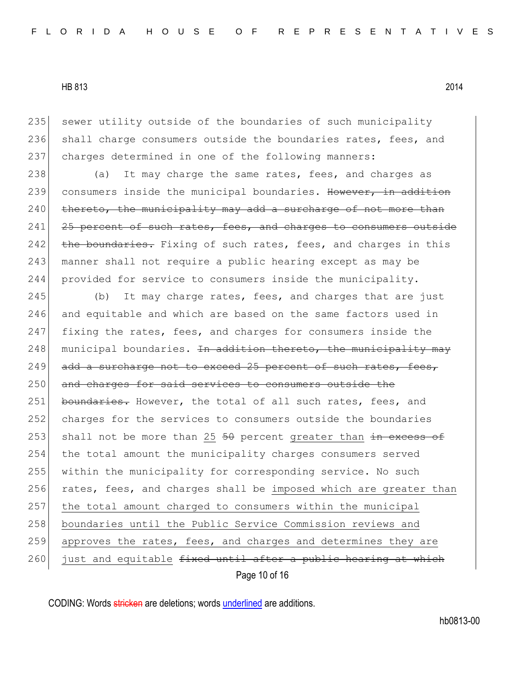235 sewer utility outside of the boundaries of such municipality 236 shall charge consumers outside the boundaries rates, fees, and 237 charges determined in one of the following manners:

238 (a) It may charge the same rates, fees, and charges as 239 consumers inside the municipal boundaries. However, in addition  $240$  thereto, the municipality may add a surcharge of not more than  $241$  25 percent of such rates, fees, and charges to consumers outside 242 the boundaries. Fixing of such rates, fees, and charges in this 243 | manner shall not require a public hearing except as may be 244 provided for service to consumers inside the municipality.

Page 10 of 16 245 (b) It may charge rates, fees, and charges that are just 246 and equitable and which are based on the same factors used in  $247$  fixing the rates, fees, and charges for consumers inside the  $248$  municipal boundaries. <del>In addition thereto, the municipality may</del>  $249$  add a surcharge not to exceed 25 percent of such rates, fees, 250 and charges for said services to consumers outside the 251 boundaries. However, the total of all such rates, fees, and 252 charges for the services to consumers outside the boundaries 253 shall not be more than 25  $50$  percent greater than  $\frac{1}{100}$  excess of 254 the total amount the municipality charges consumers served 255 within the municipality for corresponding service. No such 256 rates, fees, and charges shall be imposed which are greater than 257 the total amount charged to consumers within the municipal 258 boundaries until the Public Service Commission reviews and 259 approves the rates, fees, and charges and determines they are 260 just and equitable fixed until after a public hearing at which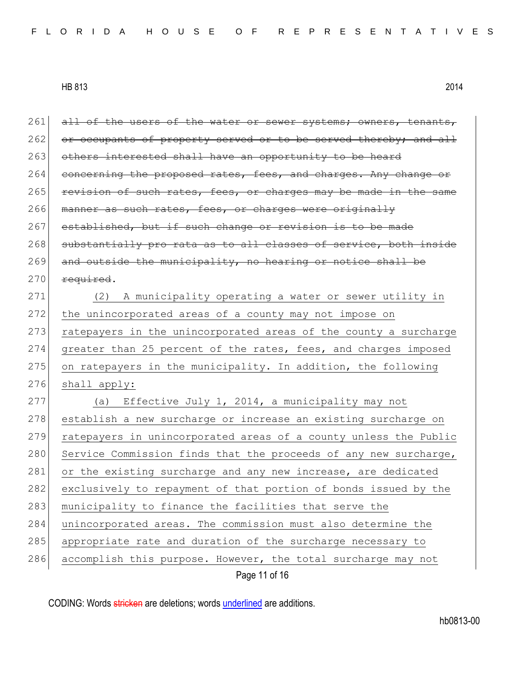|     | Page 11 of 16                                                    |  |  |  |  |  |  |  |  |  |  |  |
|-----|------------------------------------------------------------------|--|--|--|--|--|--|--|--|--|--|--|
| 286 | accomplish this purpose. However, the total surcharge may not    |  |  |  |  |  |  |  |  |  |  |  |
| 285 | appropriate rate and duration of the surcharge necessary to      |  |  |  |  |  |  |  |  |  |  |  |
| 284 | unincorporated areas. The commission must also determine the     |  |  |  |  |  |  |  |  |  |  |  |
| 283 | municipality to finance the facilities that serve the            |  |  |  |  |  |  |  |  |  |  |  |
| 282 | exclusively to repayment of that portion of bonds issued by the  |  |  |  |  |  |  |  |  |  |  |  |
| 281 | or the existing surcharge and any new increase, are dedicated    |  |  |  |  |  |  |  |  |  |  |  |
| 280 | Service Commission finds that the proceeds of any new surcharge, |  |  |  |  |  |  |  |  |  |  |  |
| 279 | ratepayers in unincorporated areas of a county unless the Public |  |  |  |  |  |  |  |  |  |  |  |
| 278 | establish a new surcharge or increase an existing surcharge on   |  |  |  |  |  |  |  |  |  |  |  |
| 277 | Effective July 1, 2014, a municipality may not<br>(a)            |  |  |  |  |  |  |  |  |  |  |  |
| 276 | shall apply:                                                     |  |  |  |  |  |  |  |  |  |  |  |
| 275 | on ratepayers in the municipality. In addition, the following    |  |  |  |  |  |  |  |  |  |  |  |
| 274 | greater than 25 percent of the rates, fees, and charges imposed  |  |  |  |  |  |  |  |  |  |  |  |
| 273 | ratepayers in the unincorporated areas of the county a surcharge |  |  |  |  |  |  |  |  |  |  |  |
| 272 | the unincorporated areas of a county may not impose on           |  |  |  |  |  |  |  |  |  |  |  |
| 271 | (2)<br>A municipality operating a water or sewer utility in      |  |  |  |  |  |  |  |  |  |  |  |
| 270 | required.                                                        |  |  |  |  |  |  |  |  |  |  |  |
| 269 | and outside the municipality, no hearing or notice shall be      |  |  |  |  |  |  |  |  |  |  |  |
| 268 | substantially pro rata as to all classes of service, both inside |  |  |  |  |  |  |  |  |  |  |  |
| 267 | established, but if such change or revision is to be made        |  |  |  |  |  |  |  |  |  |  |  |
| 266 | manner as such rates, fees, or charges were originally           |  |  |  |  |  |  |  |  |  |  |  |
| 265 | revision of such rates, fees, or charges may be made in the same |  |  |  |  |  |  |  |  |  |  |  |
| 264 | concerning the proposed rates, fees, and charges. Any change or  |  |  |  |  |  |  |  |  |  |  |  |
| 263 | others interested shall have an opportunity to be heard          |  |  |  |  |  |  |  |  |  |  |  |
| 262 | or occupants of property served or to be served thereby; and all |  |  |  |  |  |  |  |  |  |  |  |
| 261 | all of the users of the water or sewer systems; owners, tenants, |  |  |  |  |  |  |  |  |  |  |  |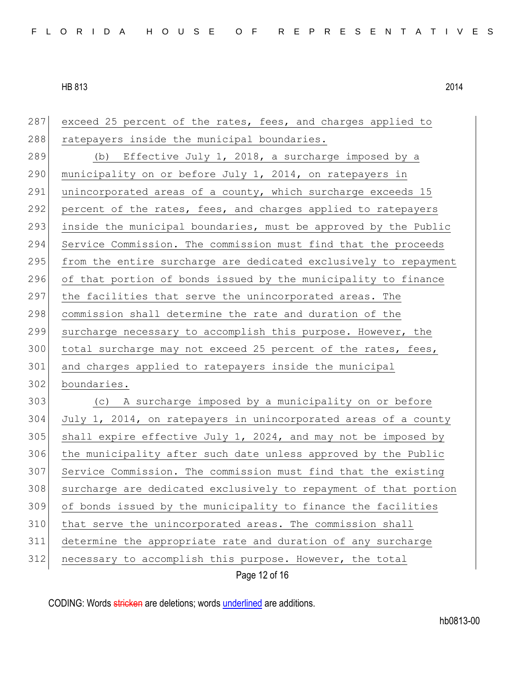| 287 | exceed 25 percent of the rates, fees, and charges applied to     |
|-----|------------------------------------------------------------------|
| 288 | ratepayers inside the municipal boundaries.                      |
| 289 | (b) Effective July 1, 2018, a surcharge imposed by a             |
| 290 | municipality on or before July 1, 2014, on ratepayers in         |
| 291 | unincorporated areas of a county, which surcharge exceeds 15     |
| 292 | percent of the rates, fees, and charges applied to ratepayers    |
| 293 | inside the municipal boundaries, must be approved by the Public  |
| 294 | Service Commission. The commission must find that the proceeds   |
| 295 | from the entire surcharge are dedicated exclusively to repayment |
| 296 | of that portion of bonds issued by the municipality to finance   |
| 297 | the facilities that serve the unincorporated areas. The          |
| 298 | commission shall determine the rate and duration of the          |
| 299 | surcharge necessary to accomplish this purpose. However, the     |
| 300 | total surcharge may not exceed 25 percent of the rates, fees,    |
| 301 | and charges applied to ratepayers inside the municipal           |
| 302 | boundaries.                                                      |
| 303 | (c) A surcharge imposed by a municipality on or before           |
| 304 | July 1, 2014, on ratepayers in unincorporated areas of a county  |
| 305 | shall expire effective July 1, 2024, and may not be imposed by   |
| 306 | the municipality after such date unless approved by the Public   |
| 307 | Service Commission. The commission must find that the existing   |
| 308 | surcharge are dedicated exclusively to repayment of that portion |
| 309 | of bonds issued by the municipality to finance the facilities    |
| 310 | that serve the unincorporated areas. The commission shall        |
| 311 | determine the appropriate rate and duration of any surcharge     |
| 312 | necessary to accomplish this purpose. However, the total         |
|     | Page 12 of 16                                                    |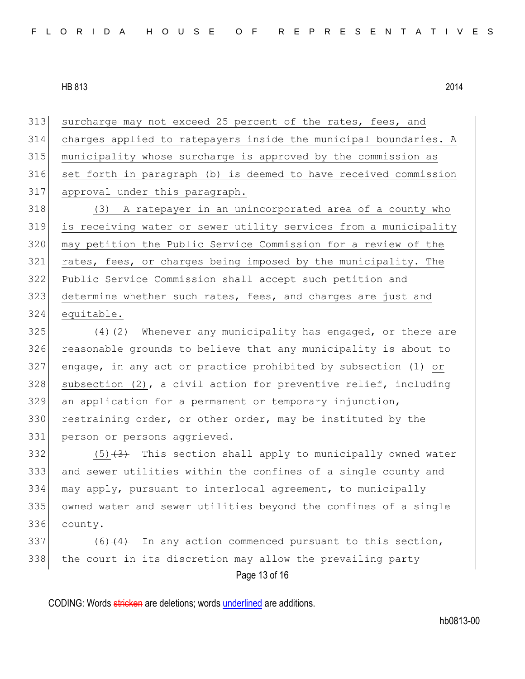313 surcharge may not exceed 25 percent of the rates, fees, and charges applied to ratepayers inside the municipal boundaries. A municipality whose surcharge is approved by the commission as set forth in paragraph (b) is deemed to have received commission approval under this paragraph.

318 (3) A ratepayer in an unincorporated area of a county who is receiving water or sewer utility services from a municipality may petition the Public Service Commission for a review of the rates, fees, or charges being imposed by the municipality. The Public Service Commission shall accept such petition and 323 determine whether such rates, fees, and charges are just and equitable.

 $(4)$   $(2)$  Whenever any municipality has engaged, or there are reasonable grounds to believe that any municipality is about to engage, in any act or practice prohibited by subsection (1) or subsection (2), a civil action for preventive relief, including an application for a permanent or temporary injunction, 330 restraining order, or other order, may be instituted by the person or persons aggrieved.

 $(5)$   $(3)$  This section shall apply to municipally owned water and sewer utilities within the confines of a single county and may apply, pursuant to interlocal agreement, to municipally owned water and sewer utilities beyond the confines of a single county.

Page 13 of 16 (6)  $(4)$  In any action commenced pursuant to this section, the court in its discretion may allow the prevailing party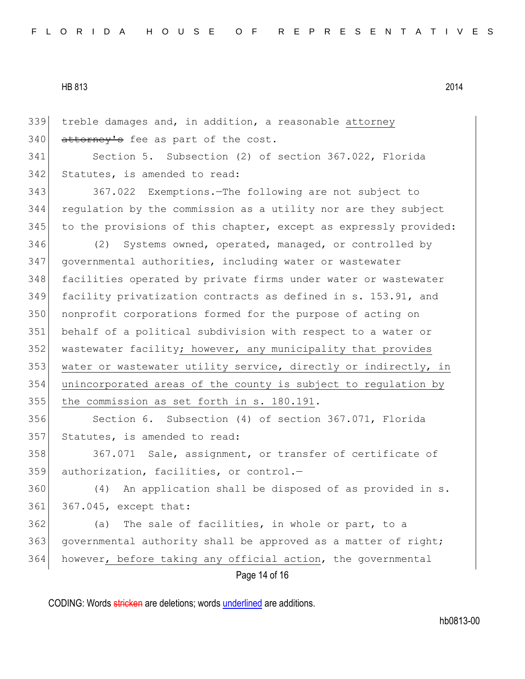339 treble damages and, in addition, a reasonable attorney  $340$  attorney's fee as part of the cost. 341 Section 5. Subsection (2) of section 367.022, Florida 342 Statutes, is amended to read: 343 367.022 Exemptions.—The following are not subject to 344 regulation by the commission as a utility nor are they subject 345 to the provisions of this chapter, except as expressly provided: 346 (2) Systems owned, operated, managed, or controlled by 347 governmental authorities, including water or wastewater 348 facilities operated by private firms under water or wastewater 349 facility privatization contracts as defined in s. 153.91, and 350 nonprofit corporations formed for the purpose of acting on 351 behalf of a political subdivision with respect to a water or 352 wastewater facility; however, any municipality that provides 353 water or wastewater utility service, directly or indirectly, in 354 unincorporated areas of the county is subject to regulation by 355 the commission as set forth in s. 180.191. 356 Section 6. Subsection (4) of section 367.071, Florida 357 Statutes, is amended to read: 358 367.071 Sale, assignment, or transfer of certificate of 359 authorization, facilities, or control.-360 (4) An application shall be disposed of as provided in s. 361 367.045, except that: 362 (a) The sale of facilities, in whole or part, to a 363 governmental authority shall be approved as a matter of right; 364 however, before taking any official action, the governmental

Page 14 of 16

CODING: Words stricken are deletions; words underlined are additions.

hb0813-00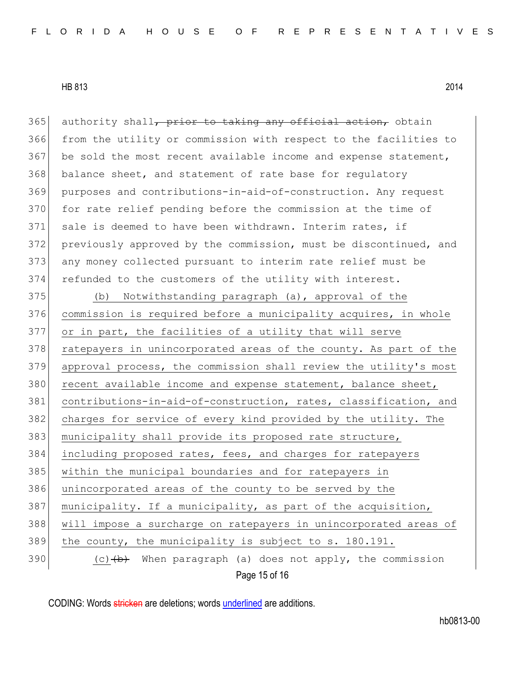Page 15 of 16 365 authority shall, prior to taking any official action, obtain 366 from the utility or commission with respect to the facilities to 367 be sold the most recent available income and expense statement, 368 balance sheet, and statement of rate base for regulatory 369 purposes and contributions-in-aid-of-construction. Any request 370 for rate relief pending before the commission at the time of 371 sale is deemed to have been withdrawn. Interim rates, if 372 previously approved by the commission, must be discontinued, and 373 any money collected pursuant to interim rate relief must be 374 refunded to the customers of the utility with interest. 375 (b) Notwithstanding paragraph (a), approval of the 376 commission is required before a municipality acquires, in whole 377 or in part, the facilities of a utility that will serve 378 ratepayers in unincorporated areas of the county. As part of the 379 approval process, the commission shall review the utility's most 380 recent available income and expense statement, balance sheet, 381 contributions-in-aid-of-construction, rates, classification, and 382 charges for service of every kind provided by the utility. The 383 municipality shall provide its proposed rate structure, 384 including proposed rates, fees, and charges for ratepayers 385 within the municipal boundaries and for ratepayers in 386 unincorporated areas of the county to be served by the 387 municipality. If a municipality, as part of the acquisition, 388 will impose a surcharge on ratepayers in unincorporated areas of 389 the county, the municipality is subject to s. 180.191. 390  $(c)$   $(b)$  When paragraph (a) does not apply, the commission